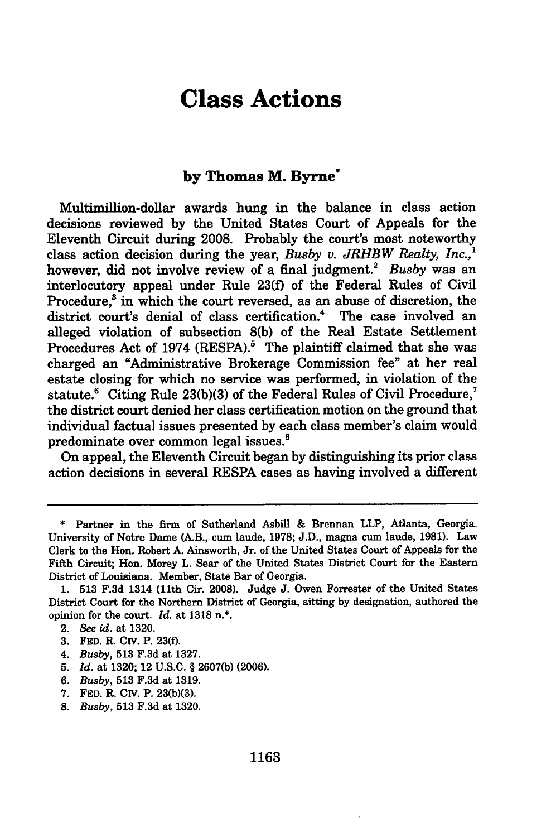## **Class Actions**

## **by Thomas M. Byrne\***

Multimilion-dollar awards hung in the balance in class action decisions reviewed **by** the United States Court of Appeals for the Eleventh Circuit during **2008.** Probably the court's most noteworthy class action decision during the year, *Busby v. JRHBW Realty, Inc.,1* however, did not involve review of a final judgment.<sup>2</sup> Busby was an interlocutory appeal under Rule **23(f)** of the Federal Rules of Civil Procedure,<sup>3</sup> in which the court reversed, as an abuse of discretion, the district court's denial of class certification.<sup>4</sup> The case involved an alleged violation of subsection **8(b)** of the Real Estate Settlement Procedures Act of 1974 (RESPA).<sup>5</sup> The plaintiff claimed that she was charged an "Administrative Brokerage Commission fee" at her real estate closing for which no service was performed, in violation of the statute.<sup>6</sup> Citing Rule 23(b)(3) of the Federal Rules of Civil Procedure,<sup>7</sup> the district court denied her class certification motion on the ground that individual factual issues presented **by** each class member's claim would predominate over common legal issues.'

On appeal, the Eleventh Circuit began **by** distinguishing its prior class action decisions in several RESPA cases as having involved a different

- 4. *Busby,* **513 F.3d** at **1327.**
- **5.** *Id.* at **1320;** 12 **U.S.C. § 2607(b) (2006).**
- **6.** *Busby,* **513 F.3d** at **1319.**
- 7. FED. R. CIV. P. 23(b)(3).
- **8.** *Busby,* **513 F.3d** at **1320.**

**<sup>\*</sup>** Partner in the firm of Sutherland Asbill **&** Brennan LLP, Atlanta, Georgia. University of Notre Dame (A.B., cum laude, **1978; J.D.,** magna cum laude, **1981).** Law Clerk to the Hon. Robert **A.** Ainsworth, Jr. of the United States Court of Appeals for the Fifth Circuit; Hon. Morey L. Sear of the United States District Court for the Eastern District of Louisiana. Member, State Bar of Georgia.

**<sup>1. 513</sup> F.3d** 1314 (11th Cir. **2008).** Judge **J.** Owen Forrester of the United States District Court for the Northern District of Georgia, sitting **by** designation, authored the opinion for the court. *Id.* at **1318** n.\*.

<sup>2.</sup> *See id.* at **1320.**

**<sup>3.</sup> FED.** R. CIv. P. **23(f).**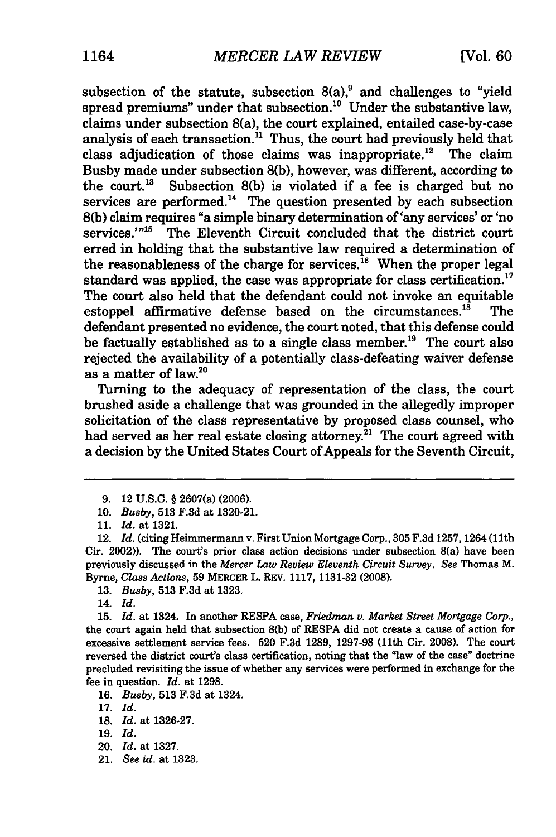subsection of the statute, subsection  $8(a)$ ,<sup>9</sup> and challenges to "yield spread premiums" under that subsection.<sup>10</sup> Under the substantive law, claims under subsection 8(a), the court explained, entailed case-by-case analysis of each transaction." Thus, the court had previously held that class adjudication of those claims was inappropriate.<sup>12</sup> The claim Busby made under subsection **8(b),** however, was different, according to the court.<sup>13</sup> Subsection 8(b) is violated if a fee is charged but no services are performed.<sup>14</sup> The question presented by each subsection **8(b)** claim requires "a simple binary determination of 'any services' or 'no services."<sup>15</sup> The Eleventh Circuit concluded that the district court **erred** in holding that the substantive law required a determination of the reasonableness of the charge for services.<sup>16</sup> When the proper legal standard was applied, the case was appropriate for class certification.<sup>17</sup> The court also held that the defendant could not invoke an equitable estoppel affirmative defense based on the circumstances.<sup>18</sup> The defendant presented no evidence, the court noted, that this defense could be factually established as to a single class member.<sup>19</sup> The court also rejected the availability of a potentially class-defeating waiver defense as a matter of law.20

Turning to the adequacy of representation of the class, the court brushed aside a challenge that was grounded in the allegedly improper solicitation of the class representative **by** proposed class counsel, who had served as her real estate closing attorney.<sup>21</sup> The court agreed with a decision **by** the United States Court of Appeals for the Seventh Circuit,

**13.** *Busby,* **513 F.3d** at **1323.**

21. *See id.* at 1323.

**<sup>9.</sup>** 12 **U.S.C.** § 2607(a) **(2006).**

**<sup>10.</sup>** *Busby,* **513 F.3d** at **1320-21.**

**<sup>11.</sup>** *Id.* at **1321.**

<sup>12.</sup> *Id.* (citing Heimmermann v. First Union Mortgage Corp., **305 F.3d 1257, 1264** (11th Cir. 2002)). The court's prior class action decisions under subsection 8(a) have been previously discussed in the *Mercer Law Review Eleventh Circuit Survey. See* Thomas M. Byrne, *Class Actions,* **59** MERCER L. REV. **1117, 1131-32 (2008).**

<sup>14.</sup> *Id.*

<sup>15.</sup> *Id.* at 1324, In another RESPA case, *Friedman v. Market Street Mortgage Corp.,* the court again held that subsection 8(b) of RESPA did not create a cause of action for excessive settlement service fees. 520 F.3d 1289, 1297-98 (11th Cir. 2008). The court reversed the district court's class certification, noting that the "law of the case" doctrine precluded revisiting the issue of whether any services were performed in exchange for the fee in question. *Id.* at 1298.

<sup>16.</sup> *Busby,* 513 F.3d at 1324.

<sup>17.</sup> *Id.*

<sup>18.</sup> *Id.* at 1326-27.

<sup>19.</sup> *Id.*

<sup>20.</sup> *Id.* at 1327.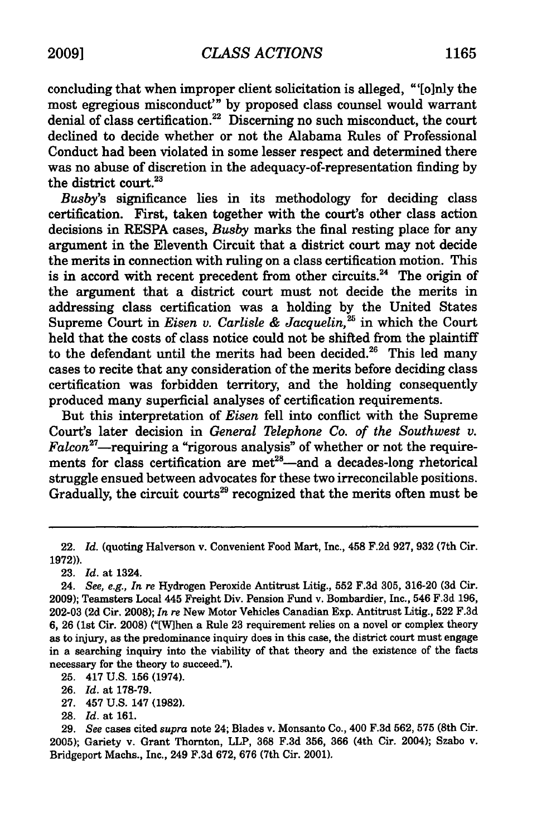concluding that when improper client solicitation is alleged, "'[o]nly the most egregious misconduct'" **by** proposed class counsel would warrant denial of class certification.<sup>22</sup> Discerning no such misconduct, the court declined to decide whether or not the Alabama Rules of Professional Conduct had been violated in some lesser respect and determined there was no abuse of discretion in the adequacy-of-representation finding **by** the district court.<sup>23</sup>

*Busby's* significance **lies** in its methodology for deciding class certification. First, taken together with the court's other class action decisions in RESPA cases, *Busby* marks the final resting place for any argument in the Eleventh Circuit that a district court may not decide the merits in connection with ruling on a class certification motion. This is in accord with recent precedent from other circuits.<sup>24</sup> The origin of the argument that a district court must not decide the merits in addressing class certification was a holding **by** the United States Supreme Court in *Eisen v. Carlisle & Jacquelin*,<sup>25</sup> in which the Court held that the costs of class notice could not be shifted from the plaintiff to the defendant until the merits had been decided.<sup>26</sup> This led many cases to recite that any consideration of the merits before deciding class certification was forbidden territory, and the holding consequently produced many superficial analyses of certification requirements.

But this interpretation of *Eisen* fell into conflict with the Supreme Court's later decision in *General Telephone Co. of the Southwest v.*  $Falcon<sup>27</sup>$ -requiring a "rigorous analysis" of whether or not the requirements for class certification are met<sup>28</sup>-and a decades-long rhetorical struggle ensued between advocates for these two irreconcilable positions. Gradually, the circuit courts<sup>29</sup> recognized that the merits often must be

25. 417 U.S. 156 (1974).

26. *Id.* at 178-79.

- 27. 457 U.S. 147 (1982).
- 28. *Id.* at 161.

<sup>22.</sup> *Id.* (quoting Halverson v. Convenient Food Mart, Inc., 458 F.2d 927, 932 (7th Cir. 1972)).

<sup>23.</sup> *Id.* at 1324.

<sup>24.</sup> *See, e.g., In re* Hydrogen Peroxide Antitrust Litig., 552 F.3d 305, 316-20 (3d Cir. 2009); Teamsters Local 445 Freight Div. Pension Fund v. Bombardier, Inc., 546 F.3d 196, 202-03 **(2d** Cir. 2008); *In re* New Motor Vehicles Canadian Exp. Antitrust Litig., 522 F.3d 6, 26 (1st Cir. 2008) ("[When a Rule 23 requirement relies on a novel or complex theory as to injury, as the predominance inquiry does in this case, the district court must engage in a searching inquiry into the viability of that theory and the existence of the facts necessary for the theory to succeed.").

<sup>29.</sup> *See* cases cited *supra* note 24; Blades v. Monsanto Co., 400 F.3d 562, **575** (8th Cir. 2005); Gariety v. Grant Thornton, LLP, 368 F.3d 356, 366 (4th Cir. 2004); Szabo v. Bridgeport Machs., Inc., 249 F.3d 672, 676 (7th Cir. 2001).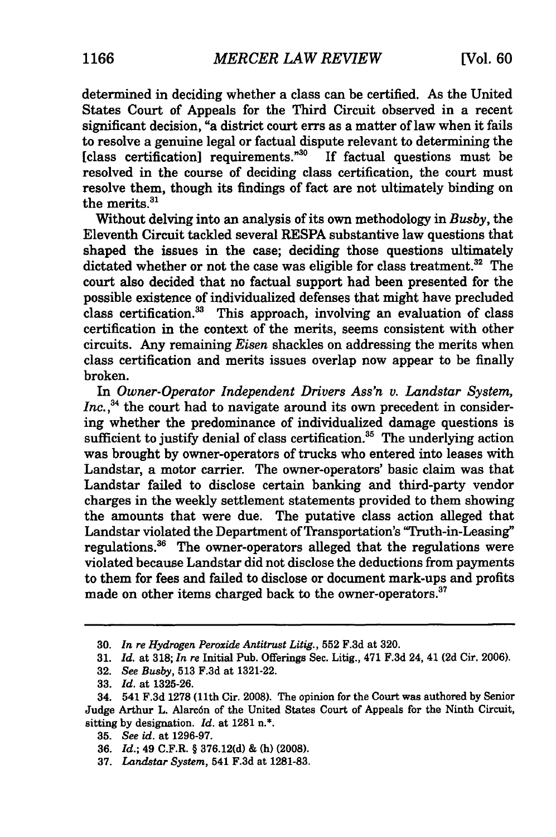determined in deciding whether a class can be certified. As the United States Court of Appeals for the Third Circuit observed in a recent significant decision, "a district court errs as a matter of law when it fails to resolve a genuine legal or factual dispute relevant to determining the [class certification] requirements."<sup>30</sup> If factual questions must be resolved in the course of deciding class certification, the court must resolve them, though its findings of fact are not ultimately binding on the merits. $31$ 

Without delving into an analysis of its own methodology in *Busby,* the Eleventh Circuit tackled several RESPA substantive law questions that shaped the issues in the case; deciding those questions ultimately dictated whether or not the case was eligible for class treatment.<sup>32</sup> The court also decided that no factual support had been presented for the possible existence of individualized defenses that might have precluded class certification.<sup>33</sup> This approach, involving an evaluation of class certification in the context of the merits, seems consistent with other circuits. Any remaining *Eisen* shackles on addressing the merits when class certification and merits issues overlap now appear to be finally broken.

In *Owner-Operator Independent Drivers Ass'n v. Landstar System, Inc.*, $34$  the court had to navigate around its own precedent in considering whether the predominance of individualized damage questions is sufficient to justify denial of class certification.<sup>35</sup> The underlying action was brought by owner-operators of trucks who entered into leases with Landstar, a motor carrier. The owner-operators' basic claim was that Landstar failed to disclose certain banking and third-party vendor charges in the weekly settlement statements provided to them showing the amounts that were due. The putative class action alleged that Landstar violated the Department of Transportation's 'Truth-in-Leasing" regulations.<sup>36</sup> The owner-operators alleged that the regulations were violated because Landstar did not disclose the deductions from payments to them for fees and failed to disclose or document mark-ups and profits made on other items charged back to the owner-operators.<sup>3</sup>

- 36. *Id.;* 49 C.F.R. § 376.12(d) & (h) (2008).
- 37. *Landstar System,* 541 F.3d at 1281-83.

<sup>30.</sup> *In re Hydrogen Peroxide Antitrust Litig.,* **552** F.3d at 320.

<sup>31.</sup> *Id.* at 318; *In re* Initial Pub. Offerings Sec. Litig., 471 F.3d 24, 41 **(2d** Cir. 2006).

<sup>32.</sup> *See Busby,* 513 F.3d at 1321-22.

<sup>33.</sup> *Id.* at 1325-26.

<sup>34. 541</sup> F.3d 1278 (11th Cir. 2008). The opinion for the Court was authored by Senior Judge Arthur L. Alarcón of the United States Court of Appeals for the Ninth Circuit, sitting by designation. *Id.* at 1281 n.\*.

**<sup>35.</sup>** *See id.* at 1296-97.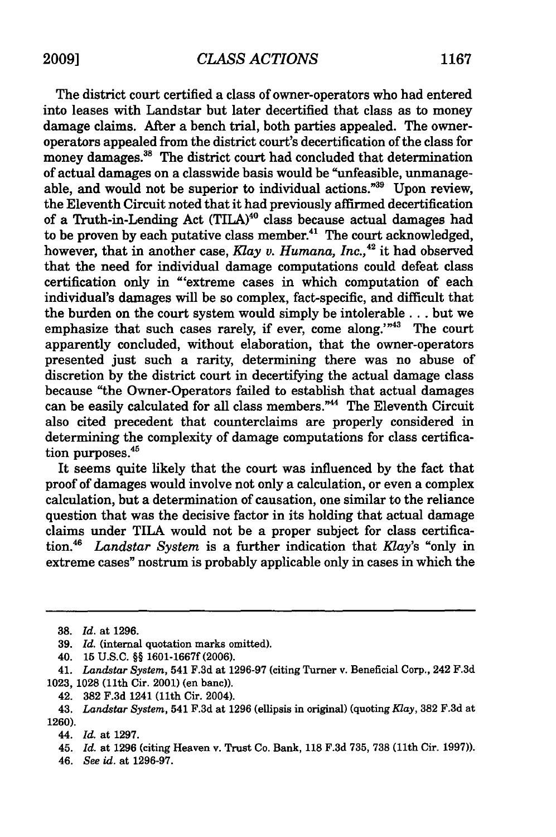The district court certified a class of owner-operators who had entered into leases with Landstar but later decertified that class as to money damage claims. After a bench trial, both parties appealed. The owneroperators appealed from the district court's decertification of the class for money damages.<sup>38</sup> The district court had concluded that determination of actual damages on a classwide basis would be "unfeasible, unmanageable, and would not be superior to individual actions."39 Upon review, the Eleventh Circuit noted that it had previously affirmed decertification of a Truth-in-Lending Act (TILA)<sup>40</sup> class because actual damages had to be proven by each putative class member.<sup>41</sup> The court acknowledged, however, that in another case, *Klay* v. *Humana, Inc.,42* it had observed that the need for individual damage computations could defeat class certification only in "'extreme cases in which computation of each individual's damages will be so complex, fact-specific, and difficult that the burden on the court system would simply be intolerable... but we emphasize that such cases rarely, if ever, come along."<sup>43</sup> The court apparently concluded, without elaboration, that the owner-operators presented just such a rarity, determining there was no abuse of discretion by the district court in decertifying the actual damage class because "the Owner-Operators failed to establish that actual damages can be easily calculated for all class members."<sup>44</sup> The Eleventh Circuit also cited precedent that counterclaims are properly considered in determining the complexity of damage computations for class certification purposes. $45$ 

It seems quite likely that the court was influenced by the fact that proof of damages would involve not only a calculation, or even a complex calculation, but a determination of causation, one similar to the reliance question that was the decisive factor in its holding that actual damage claims under TILA would not be a proper subject for class certification.<sup>46</sup>*Landstar System* is a further indication that *Klay's* "only in extreme cases" nostrum is probably applicable only in cases in which the

**<sup>38.</sup>** *Id.* at **1296.**

<sup>39.</sup> *Id.* (internal quotation marks omitted).

<sup>40. 15</sup> U.S.C. §§ **1601-1667f (2006).**

<sup>41.</sup> *Landstar System,* 541 F.3d at 1296-97 (citing Turner v. Beneficial Corp., 242 F.3d 1023, 1028 (11th Cir. 2001) (en banc)).

<sup>42. 382</sup> F.3d 1241 (11th Cir. 2004).

<sup>43.</sup> *Landstar System,* 541 F.3d at 1296 (ellipsis in original) (quoting Kay, 382 F.3d at **1260).**

<sup>44.</sup> *Id.* at 1297.

<sup>45.</sup> *Id.* at 1296 (citing Heaven v. Trust Co. Bank, 118 F.3d 735, 738 (11th Cir. 1997)).

<sup>46.</sup> *See id.* at 1296-97.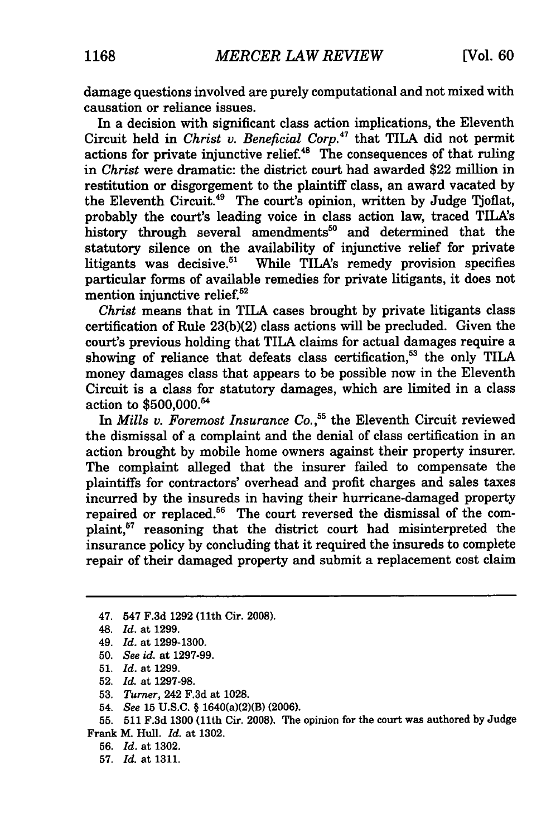damage questions involved are purely computational and not mixed with causation or reliance issues.

In a decision with significant class action implications, the Eleventh Circuit held in *Christ v. Beneficial Corp.47* that TILA did not permit actions for private injunctive relief.<sup>48</sup> The consequences of that ruling in *Christ* were dramatic: the district court had awarded \$22 million in restitution or disgorgement to the plaintiff class, an award vacated by the Eleventh Circuit.<sup>49</sup> The court's opinion, written by Judge Tjoflat, probably the court's leading voice in class action law, traced TILAs history through several amendments<sup>50</sup> and determined that the statutory silence on the availability of injunctive relief for private litigants was decisive.<sup>51</sup> While TILA's remedy provision specifies particular forms of available remedies for private litigants, it does not mention injunctive relief.<sup>52</sup>

*Christ* means that in TILA cases brought by private litigants class certification of Rule 23(b)(2) class actions will be precluded. Given the court's previous holding that TILA claims for actual damages require a showing of reliance that defeats class certification,<sup>53</sup> the only TILA money damages class that appears to be possible now in the Eleventh Circuit is a class for statutory damages, which are limited in a class action to \$500,000.<sup>54</sup>

In *Mills v. Foremost Insurance Co.,"* the Eleventh Circuit reviewed the dismissal of a complaint and the denial of class certification in an action brought by mobile home owners against their property insurer. The complaint alleged that the insurer failed to compensate the plaintiffs for contractors' overhead and profit charges and sales taxes incurred by the insureds in having their hurricane-damaged property repaired or replaced.<sup>56</sup> The court reversed the dismissal of the complaint,<sup>57</sup> reasoning that the district court had misinterpreted the insurance policy by concluding that it required the insureds to complete repair of their damaged property and submit a replacement cost claim

- 50. *See id.* at 1297-99.
- 51. *Id.* at 1299.
- **52.** *Id.* at 1297-98.
- 53. *Turner,* 242 F.3d at 1028.
- 54. *See* 15 U.S.C. § 1640(a)(2)(B) (2006).

**55. 511** F.3d 1300 (11th Cir. **2008).** The opinion for the court was authored by Judge Frank M. Hull. *Id.* at 1302.

- 56. *Id.* at 1302.
- **57.** *Id.* at **1311.**

<sup>47. 547</sup> F.3d 1292 (11th Cir. 2008).

<sup>48.</sup> *Id.* at 1299.

<sup>49.</sup> *Id.* at 1299-1300.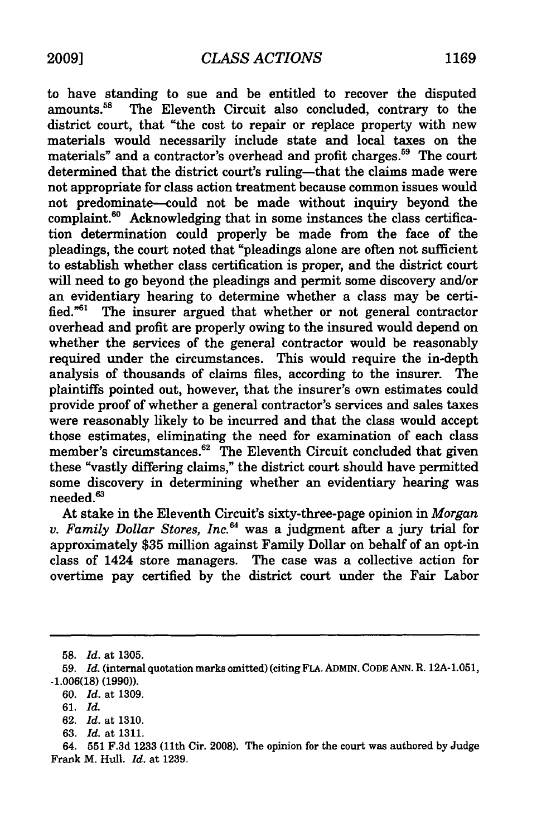to have standing to sue and be entitled to recover the disputed amounts.<sup>58</sup> The Eleventh Circuit also concluded, contrary to the The Eleventh Circuit also concluded, contrary to the district court, that "the cost to repair or replace property with new materials would necessarily include state and local taxes on the materials" and a contractor's overhead and profit charges.<sup>59</sup> The court determined that the district court's ruling-that the claims made were not appropriate for class action treatment because common issues would not predominate--could not be made without inquiry beyond the complaint. $60$  Acknowledging that in some instances the class certification determination could properly be made from the face of the pleadings, the court noted that "pleadings alone are often not sufficient to establish whether class certification is proper, and the district court will need to go beyond the pleadings and permit some discovery and/or an evidentiary hearing to determine whether a class may be certified."6' The insurer argued that whether or not general contractor overhead and profit are properly owing to the insured would depend on whether the services of the general contractor would be reasonably required under the circumstances. This would require the in-depth analysis of thousands of claims files, according to the insurer. The plaintiffs pointed out, however, that the insurer's own estimates could provide proof of whether a general contractor's services and sales taxes were reasonably likely to be incurred and that the class would accept those estimates, eliminating the need for examination of each class member's circumstances.<sup>62</sup> The Eleventh Circuit concluded that given these "vastly differing claims," the district court should have permitted some discovery in determining whether an evidentiary hearing was needed.<sup>63</sup>

At stake in the Eleventh Circuit's sixty-three-page opinion in *Morgan v. Family Dollar Stores, Inc."* was a judgment after a jury trial for approximately \$35 million against Family Dollar on behalf of an opt-in class of 1424 store managers. The case was a collective action for overtime pay certified by the district court under the Fair Labor

<sup>58.</sup> *Id.* at 1305.

<sup>59.</sup> *Id.* (internal quotation marks omitted) (citing FLA. ADMIN. CODE ANN. R. 12A-1.051, -1.006(18) (1990)).

<sup>60.</sup> *Id.* at 1309.

**<sup>61.</sup>** *Id.*

<sup>62.</sup> *Id.* at 1310.

<sup>63.</sup> *Id.* at 1311.

<sup>64.</sup> **551** F.3d 1233 (11th Cir. 2008). The opinion for the court was authored by Judge Frank M. Hull. *Id.* at 1239.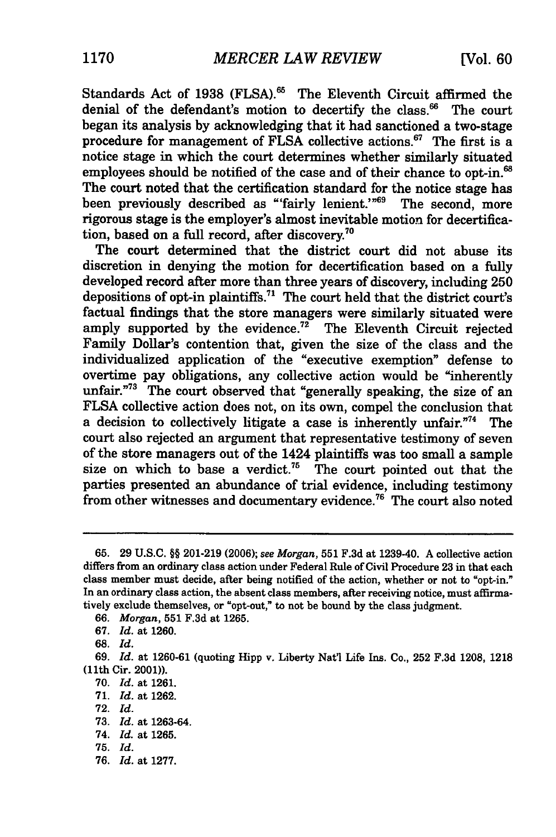Standards Act of 1938 (FLSA).<sup>65</sup> The Eleventh Circuit affirmed the denial of the defendant's motion to decertify the class.<sup>66</sup> The court began its analysis by acknowledging that it had sanctioned a two-stage procedure for management of FLSA collective actions.<sup>67</sup> The first is a notice stage in which the court determines whether similarly situated employees should be notified of the case and of their chance to opt-in.<sup>68</sup> The court noted that the certification standard for the notice stage has been previously described as "'fairly lenient.'"<sup>69</sup> The second, more rigorous stage is the employer's almost inevitable motion for decertification, based on a full record, after discovery.<sup>70</sup>

The court determined that the district court did not abuse its discretion in denying the motion for decertification based on a fully developed record after more than three years of discovery, including 250 depositions of opt-in plaintiffs.<sup>71</sup> The court held that the district court's factual findings that the store managers were similarly situated were amply supported by the evidence. $72$  The Eleventh Circuit rejected Family Dollar's contention that, given the size of the class and the individualized application of the "executive exemption" defense to overtime pay obligations, any collective action would be "inherently unfair."<sup>73</sup> The court observed that "generally speaking, the size of an **FLSA** collective action does not, on its own, compel the conclusion that a decision to collectively litigate a case is inherently unfair."74 The court also rejected an argument that representative testimony of seven of the store managers out of the 1424 plaintiffs was too small a sample size on which to base a verdict.<sup>75</sup> The court pointed out that the parties presented an abundance of trial evidence, including testimony from other witnesses and documentary evidence.<sup>76</sup> The court also noted

76. *Id.* at 1277.

**<sup>65. 29</sup> U.S.C.** §§ **201-219 (2006);** *see Morgan,* **551 F.3d** at 1239-40. **A** collective action differs from an ordinary class action under Federal Rule of Civil Procedure **23** in that each class member must decide, after being notified of the action, whether or not to "opt-in." In an ordinary class action, the absent class members, after receiving notice, must affirmatively exclude themselves, or "opt-out," to not be bound **by** the class judgment.

**<sup>66.</sup>** *Morgan,* **551 F.3d** at **1265.**

**<sup>67.</sup>** *Id.* at **1260.**

**<sup>68.</sup>** *Id.*

**<sup>69.</sup>** *Id.* at **1260-61** (quoting **Hipp** v. Liberty Nat'l Life Ins. Co., **252 F.3d 1208, 1218** (Ilth Cir. 2001)).

**<sup>70.</sup>** *Id.* at **1261.**

**<sup>71.</sup>** *Id.* at **1262.**

**<sup>72.</sup>** *Id.*

**<sup>73.</sup>** *Id.* at **1263-64.**

<sup>74.</sup> *Id.* at **1265.**

**<sup>75.</sup>** *Id.*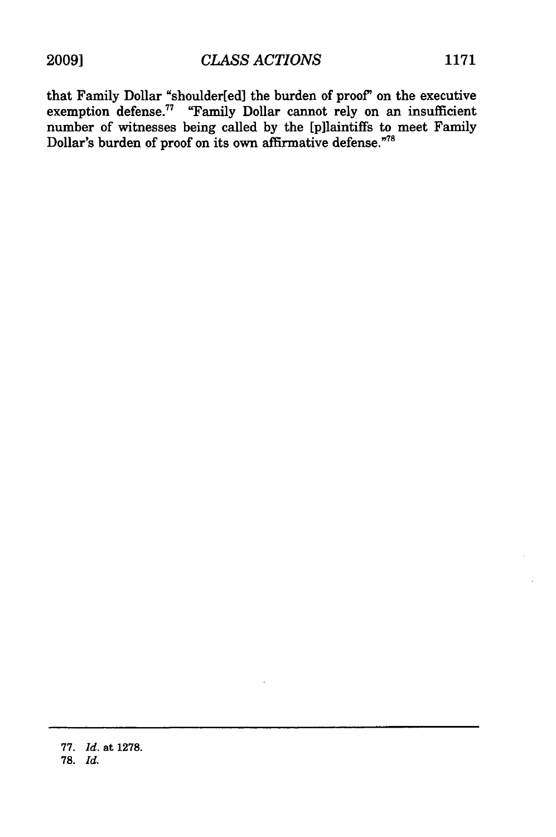that Family Dollar "shoulder[ed] the burden of proof' on the executive exemption defense.<sup>77</sup> "Family Dollar cannot rely on an insufficient number of witnesses being called by the [pilaintiffs to meet Family Dollar's burden of proof on its own affirmative defense."<sup>78</sup>